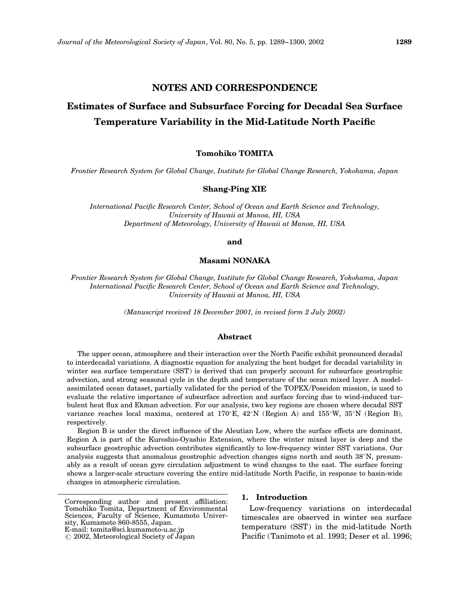## NOTES AND CORRESPONDENCE

# Estimates of Surface and Subsurface Forcing for Decadal Sea Surface Temperature Variability in the Mid-Latitude North Pacific

## Tomohiko TOMITA

Frontier Research System for Global Change, Institute for Global Change Research, Yokohama, Japan

## Shang-Ping XIE

International Pacific Research Center, School of Ocean and Earth Science and Technology, University of Hawaii at Manoa, HI, USA Department of Meteorology, University of Hawaii at Manoa, HI, USA

and

## Masami NONAKA

Frontier Research System for Global Change, Institute for Global Change Research, Yokohama, Japan International Pacific Research Center, School of Ocean and Earth Science and Technology, University of Hawaii at Manoa, HI, USA

(Manuscript received 18 December 2001, in revised form 2 July 2002)

### Abstract

The upper ocean, atmosphere and their interaction over the North Pacific exhibit pronounced decadal to interdecadal variations. A diagnostic equation for analyzing the heat budget for decadal variability in winter sea surface temperature (SST) is derived that can properly account for subsurface geostrophic advection, and strong seasonal cycle in the depth and temperature of the ocean mixed layer. A modelassimilated ocean dataset, partially validated for the period of the TOPEX/Poseidon mission, is used to evaluate the relative importance of subsurface advection and surface forcing due to wind-induced turbulent heat flux and Ekman advection. For our analysis, two key regions are chosen where decadal SST variance reaches local maxima, centered at 170°E, 42°N (Region A) and 155°W, 35°N (Region B), respectively.

Region B is under the direct influence of the Aleutian Low, where the surface effects are dominant. Region A is part of the Kuroshio-Oyashio Extension, where the winter mixed layer is deep and the subsurface geostrophic advection contributes significantly to low-frequency winter SST variations. Our analysis suggests that anomalous geostrophic advection changes signs north and south  $38^{\circ}$ N, presumably as a result of ocean gyre circulation adjustment to wind changes to the east. The surface forcing shows a larger-scale structure covering the entire mid-latitude North Pacific, in response to basin-wide changes in atmospheric circulation.

## 1. Introduction

Low-frequency variations on interdecadal timescales are observed in winter sea surface temperature (SST) in the mid-latitude North Pacific (Tanimoto et al. 1993; Deser et al. 1996;

Corresponding author and present affiliation: Tomohiko Tomita, Department of Environmental Sciences, Faculty of Science, Kumamoto University, Kumamoto 860-8555, Japan. E-mail: tomita@sci.kumamoto-u.ac.jp

<sup>(</sup> 2002, Meteorological Society of Japan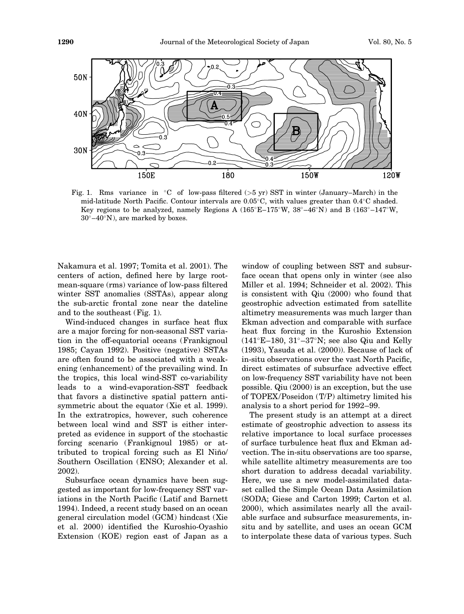

Fig. 1. Rms variance in  $\degree$ C of low-pass filtered (>5 yr) SST in winter (January–March) in the mid-latitude North Pacific. Contour intervals are  $0.05^{\circ}$ C, with values greater than  $0.4^{\circ}$ C shaded. Key regions to be analyzed, namely Regions A  $(165^{\circ}E-175^{\circ}W, 38^{\circ}-46^{\circ}N)$  and B  $(163^{\circ}-147^{\circ}W,$  $30^{\circ}-40^{\circ}$ N), are marked by boxes.

Nakamura et al. 1997; Tomita et al. 2001). The centers of action, defined here by large rootmean-square (rms) variance of low-pass filtered winter SST anomalies (SSTAs), appear along the sub-arctic frontal zone near the dateline and to the southeast (Fig. 1).

Wind-induced changes in surface heat flux are a major forcing for non-seasonal SST variation in the off-equatorial oceans (Frankignoul 1985; Cayan 1992). Positive (negative) SSTAs are often found to be associated with a weakening (enhancement) of the prevailing wind. In the tropics, this local wind-SST co-variability leads to a wind-evaporation-SST feedback that favors a distinctive spatial pattern antisymmetric about the equator (Xie et al. 1999). In the extratropics, however, such coherence between local wind and SST is either interpreted as evidence in support of the stochastic forcing scenario (Frankignoul 1985) or attributed to tropical forcing such as El Niño/ Southern Oscillation (ENSO; Alexander et al. 2002).

Subsurface ocean dynamics have been suggested as important for low-frequency SST variations in the North Pacific (Latif and Barnett 1994). Indeed, a recent study based on an ocean general circulation model (GCM) hindcast (Xie et al. 2000) identified the Kuroshio-Oyashio Extension (KOE) region east of Japan as a window of coupling between SST and subsurface ocean that opens only in winter (see also Miller et al. 1994; Schneider et al. 2002). This is consistent with Qiu (2000) who found that geostrophic advection estimated from satellite altimetry measurements was much larger than Ekman advection and comparable with surface heat flux forcing in the Kuroshio Extension  $(141^{\circ}E-180, 31^{\circ}-37^{\circ}N;$  see also Qiu and Kelly (1993), Yasuda et al. (2000)). Because of lack of in-situ observations over the vast North Pacific, direct estimates of subsurface advective effect on low-frequency SST variability have not been possible. Qiu (2000) is an exception, but the use of TOPEX/Poseidon (T/P) altimetry limited his analysis to a short period for 1992–99.

The present study is an attempt at a direct estimate of geostrophic advection to assess its relative importance to local surface processes of surface turbulence heat flux and Ekman advection. The in-situ observations are too sparse, while satellite altimetry measurements are too short duration to address decadal variability. Here, we use a new model-assimilated dataset called the Simple Ocean Data Assimilation (SODA; Giese and Carton 1999; Carton et al. 2000), which assimilates nearly all the available surface and subsurface measurements, insitu and by satellite, and uses an ocean GCM to interpolate these data of various types. Such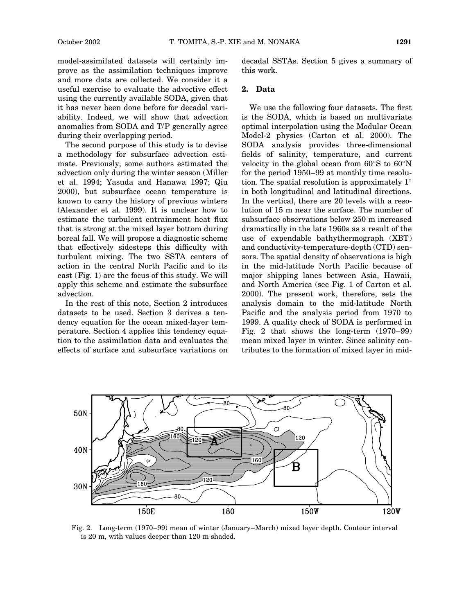model-assimilated datasets will certainly improve as the assimilation techniques improve and more data are collected. We consider it a useful exercise to evaluate the advective effect using the currently available SODA, given that it has never been done before for decadal variability. Indeed, we will show that advection anomalies from SODA and T/P generally agree during their overlapping period.

The second purpose of this study is to devise a methodology for subsurface advection estimate. Previously, some authors estimated the advection only during the winter season (Miller et al. 1994; Yasuda and Hanawa 1997; Qiu 2000), but subsurface ocean temperature is known to carry the history of previous winters (Alexander et al. 1999). It is unclear how to estimate the turbulent entrainment heat flux that is strong at the mixed layer bottom during boreal fall. We will propose a diagnostic scheme that effectively sidesteps this difficulty with turbulent mixing. The two SSTA centers of action in the central North Pacific and to its east (Fig. 1) are the focus of this study. We will apply this scheme and estimate the subsurface advection.

In the rest of this note, Section 2 introduces datasets to be used. Section 3 derives a tendency equation for the ocean mixed-layer temperature. Section 4 applies this tendency equation to the assimilation data and evaluates the effects of surface and subsurface variations on decadal SSTAs. Section 5 gives a summary of this work.

## 2. Data

We use the following four datasets. The first is the SODA, which is based on multivariate optimal interpolation using the Modular Ocean Model-2 physics (Carton et al. 2000). The SODA analysis provides three-dimensional fields of salinity, temperature, and current velocity in the global ocean from  $60^{\circ}$ S to  $60^{\circ}$ N for the period 1950–99 at monthly time resolution. The spatial resolution is approximately  $1^{\circ}$ in both longitudinal and latitudinal directions. In the vertical, there are 20 levels with a resolution of 15 m near the surface. The number of subsurface observations below 250 m increased dramatically in the late 1960s as a result of the use of expendable bathythermograph (XBT) and conductivity-temperature-depth (CTD) sensors. The spatial density of observations is high in the mid-latitude North Pacific because of major shipping lanes between Asia, Hawaii, and North America (see Fig. 1 of Carton et al. 2000). The present work, therefore, sets the analysis domain to the mid-latitude North Pacific and the analysis period from 1970 to 1999. A quality check of SODA is performed in Fig. 2 that shows the long-term (1970–99) mean mixed layer in winter. Since salinity contributes to the formation of mixed layer in mid-



Fig. 2. Long-term (1970–99) mean of winter (January–March) mixed layer depth. Contour interval is 20 m, with values deeper than 120 m shaded.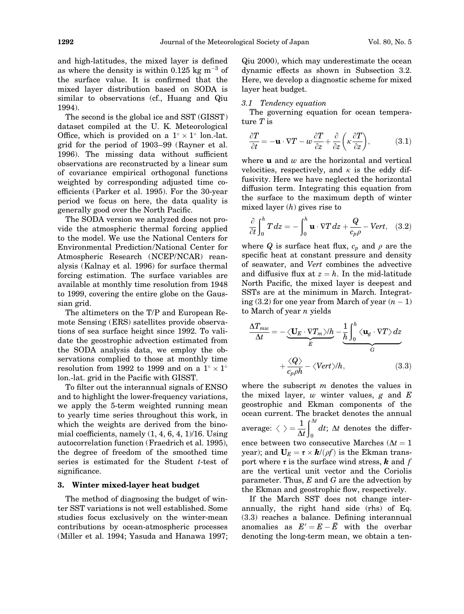and high-latitudes, the mixed layer is defined as where the density is within 0.125 kg  $\text{m}^{-3}$  of the surface value. It is confirmed that the mixed layer distribution based on SODA is similar to observations (cf., Huang and Qiu 1994).

The second is the global ice and SST (GISST) dataset compiled at the U. K. Meteorological Office, which is provided on a  $1^\circ \times 1^\circ$  lon.-lat. grid for the period of 1903–99 (Rayner et al. 1996). The missing data without sufficient observations are reconstructed by a linear sum of covariance empirical orthogonal functions weighted by corresponding adjusted time coefficients (Parker et al. 1995). For the 30-year period we focus on here, the data quality is generally good over the North Pacific.

The SODA version we analyzed does not provide the atmospheric thermal forcing applied to the model. We use the National Centers for Environmental Prediction/National Center for Atmospheric Research (NCEP/NCAR) reanalysis (Kalnay et al. 1996) for surface thermal forcing estimation. The surface variables are available at monthly time resolution from 1948 to 1999, covering the entire globe on the Gaussian grid.

The altimeters on the T/P and European Remote Sensing (ERS) satellites provide observations of sea surface height since 1992. To validate the geostrophic advection estimated from the SODA analysis data, we employ the observations complied to those at monthly time resolution from 1992 to 1999 and on a  $1^{\circ} \times 1^{\circ}$ lon.-lat. grid in the Pacific with GISST.

To filter out the interannual signals of ENSO and to highlight the lower-frequency variations, we apply the 5-term weighted running mean to yearly time series throughout this work, in which the weights are derived from the binomial coefficients, namely  $(1, 4, 6, 4, 1)/16$ . Using autocorrelation function (Fraedrich et al. 1995), the degree of freedom of the smoothed time series is estimated for the Student  $t$ -test of significance.

#### 3. Winter mixed-layer heat budget

The method of diagnosing the budget of winter SST variations is not well established. Some studies focus exclusively on the winter-mean contributions by ocean-atmospheric processes (Miller et al. 1994; Yasuda and Hanawa 1997; Qiu 2000), which may underestimate the ocean dynamic effects as shown in Subsection 3.2. Here, we develop a diagnostic scheme for mixed layer heat budget.

#### 3.1 Tendency equation

The governing equation for ocean temperature T is

$$
\frac{\partial T}{\partial t} = -\mathbf{u} \cdot \nabla T - w \frac{\partial T}{\partial z} + \frac{\partial}{\partial z} \left( \kappa \frac{\partial T}{\partial z} \right),\tag{3.1}
$$

where  $\bf{u}$  and  $w$  are the horizontal and vertical velocities, respectively, and  $\kappa$  is the eddy diffusivity. Here we have neglected the horizontal diffusion term. Integrating this equation from the surface to the maximum depth of winter mixed layer  $(h)$  gives rise to

$$
\frac{\partial}{\partial t}\int_0^h T\,dz = -\int_0^h \mathbf{u} \cdot \nabla T\,dz + \frac{Q}{c_p\rho} - Vert,\quad (3.2)
$$

where Q is surface heat flux,  $c_p$  and  $\rho$  are the specific heat at constant pressure and density of seawater, and Vert combines the advective and diffusive flux at  $z = h$ . In the mid-latitude North Pacific, the mixed layer is deepest and SSTs are at the minimum in March. Integrating  $(3.2)$  for one year from March of year  $(n-1)$ to March of year  $n$  yields

$$
\frac{\Delta T_{mw}}{\Delta t} = -\underbrace{\langle \mathbf{U}_E \cdot \nabla T_m \rangle / h}_{E} - \underbrace{\frac{1}{h} \int_0^h \langle \mathbf{u}_g \cdot \nabla T \rangle dz}_{G}
$$
\n
$$
+ \underbrace{\langle Q \rangle}_{c_p \rho h} - \langle Vert \rangle / h, \qquad (3.3)
$$

where the subscript  $m$  denotes the values in the mixed layer,  $w$  winter values,  $g$  and  $E$ geostrophic and Ekman components of the ocean current. The bracket denotes the annual average:  $\langle \ \rangle = \frac{1}{\Delta t}$  $\int_{0}^{\infty}$ 0  $dt$ ;  $\Delta t$  denotes the difference between two consecutive Marches ( $\Delta t = 1$ year); and  $U_E = \tau \times \mathbf{k}/(\rho f)$  is the Ekman transport where  $\tau$  is the surface wind stress, **k** and f are the vertical unit vector and the Coriolis parameter. Thus,  $E$  and  $G$  are the advection by the Ekman and geostrophic flow, respectively.

If the March SST does not change interannually, the right hand side (rhs) of Eq. (3.3) reaches a balance. Defining interannual anomalies as  $E' = E - \bar{E}$  with the overbar denoting the long-term mean, we obtain a ten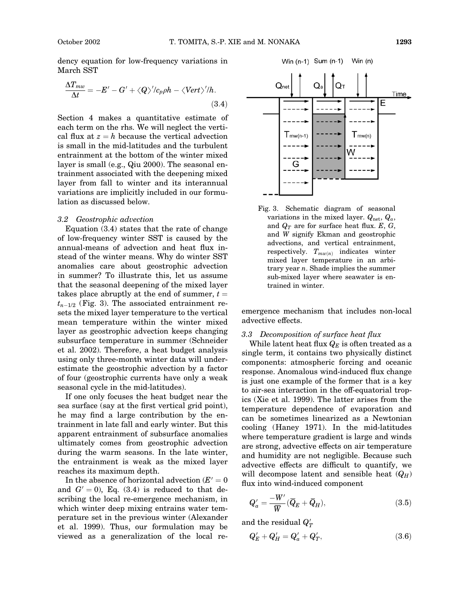dency equation for low-frequency variations in March SST

$$
\frac{\Delta T_{mw}}{\Delta t} = -E' - G' + \langle Q \rangle' / c_p \rho h - \langle Vert \rangle' / h. \tag{3.4}
$$

Section 4 makes a quantitative estimate of each term on the rhs. We will neglect the vertical flux at  $z = h$  because the vertical advection is small in the mid-latitudes and the turbulent entrainment at the bottom of the winter mixed layer is small (e.g., Qiu 2000). The seasonal entrainment associated with the deepening mixed layer from fall to winter and its interannual variations are implicitly included in our formulation as discussed below.

#### 3.2 Geostrophic advection

Equation (3.4) states that the rate of change of low-frequency winter SST is caused by the annual-means of advection and heat flux instead of the winter means. Why do winter SST anomalies care about geostrophic advection in summer? To illustrate this, let us assume that the seasonal deepening of the mixed layer takes place abruptly at the end of summer,  $t =$  $t_{n-1/2}$  (Fig. 3). The associated entrainment resets the mixed layer temperature to the vertical mean temperature within the winter mixed layer as geostrophic advection keeps changing subsurface temperature in summer (Schneider et al. 2002). Therefore, a heat budget analysis using only three-month winter data will underestimate the geostrophic advection by a factor of four (geostrophic currents have only a weak seasonal cycle in the mid-latitudes).

If one only focuses the heat budget near the sea surface (say at the first vertical grid point), he may find a large contribution by the entrainment in late fall and early winter. But this apparent entrainment of subsurface anomalies ultimately comes from geostrophic advection during the warm seasons. In the late winter, the entrainment is weak as the mixed layer reaches its maximum depth.

In the absence of horizontal advection  $(E'=0)$ and  $G' = 0$ , Eq. (3.4) is reduced to that describing the local re-emergence mechanism, in which winter deep mixing entrains water temperature set in the previous winter (Alexander et al. 1999). Thus, our formulation may be viewed as a generalization of the local re-



Fig. 3. Schematic diagram of seasonal variations in the mixed layer.  $Q_{\text{net}}$ ,  $Q_a$ , and  $Q_T$  are for surface heat flux. E, G, and W signify Ekman and geostrophic advections, and vertical entrainment, respectively.  $T_{mw(n)}$  indicates winter mixed layer temperature in an arbitrary year  $n$ . Shade implies the summer sub-mixed layer where seawater is entrained in winter.

emergence mechanism that includes non-local advective effects.

#### 3.3 Decomposition of surface heat flux

While latent heat flux  $Q_E$  is often treated as a single term, it contains two physically distinct components: atmospheric forcing and oceanic response. Anomalous wind-induced flux change is just one example of the former that is a key to air-sea interaction in the off-equatorial tropics (Xie et al. 1999). The latter arises from the temperature dependence of evaporation and can be sometimes linearized as a Newtonian cooling (Haney 1971). In the mid-latitudes where temperature gradient is large and winds are strong, advective effects on air temperature and humidity are not negligible. Because such advective effects are difficult to quantify, we will decompose latent and sensible heat  $(Q_H)$ flux into wind-induced component

$$
Q'_a = \frac{-W'}{\overline{W}}(\overline{Q}_E + \overline{Q}_H),\tag{3.5}
$$

and the residual  $Q_T^\prime$ 

$$
Q'_E + Q'_H = Q'_a + Q'_T, \t\t(3.6)
$$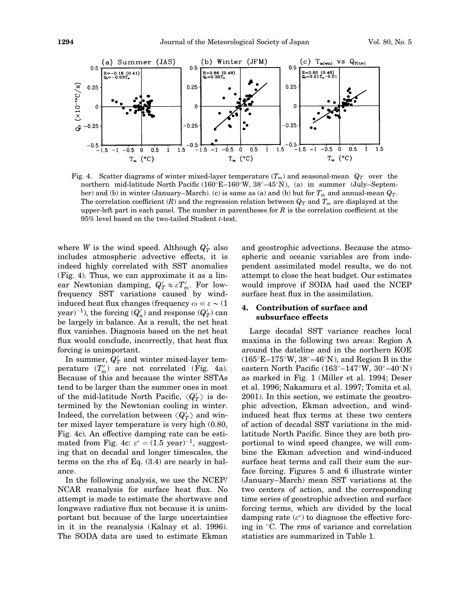

Fig. 4. Scatter diagrams of winter mixed-layer temperature  $(T_m)$  and seasonal-mean  $Q_T$  over the northern mid-latitude North Pacific (160°E-160°W, 38°-45°N), (a) in summer (July–September) and (b) in winter (January–March). (c) is same as (a) and (b) but for  $T_m$  and annual-mean  $Q_T$ . The correlation coefficient  $(R)$  and the regression relation between  $Q_T$  and  $T_m$  are displayed at the upper-left part in each panel. The number in parentheses for  $R$  is the correlation coefficient at the 95% level based on the two-tailed Student t-test.

where W is the wind speed. Although  $Q_T'$  also includes atmospheric advective effects, it is indeed highly correlated with SST anomalies (Fig. 4). Thus, we can approximate it as a linear Newtonian damping,  $Q'_T \approx \varepsilon T'_m$ . For lowfrequency SST variations caused by windinduced heat flux changes (frequency  $\omega \ll \varepsilon \sim (1$ year) $^{-1}$ ), the forcing ( $Q_a^\prime$ ) and response ( $Q_T^\prime$ ) can be largely in balance. As a result, the net heat flux vanishes. Diagnosis based on the net heat flux would conclude, incorrectly, that heat flux forcing is unimportant.

In summer,  $Q_T'$  and winter mixed-layer temperature  $(T'_m)$  are not correlated (Fig. 4a). Because of this and because the winter SSTAs tend to be larger than the summer ones in most of the mid-latitude North Pacific,  $\langle Q_T' \rangle$  is determined by the Newtonian cooling in winter. Indeed, the correlation between  $\langle Q_T' \rangle$  and winter mixed layer temperature is very high (0.80, Fig. 4c). An effective damping rate can be estimated from Fig. 4c:  $\varepsilon^* = (1.5 \text{ year})^{-1}$ , suggesting that on decadal and longer timescales, the terms on the rhs of Eq. (3.4) are nearly in balance.

In the following analysis, we use the NCEP/ NCAR reanalysis for surface heat flux. No attempt is made to estimate the shortwave and longwave radiative flux not because it is unimportant but because of the large uncertainties in it in the reanalysis (Kalnay et al. 1996). The SODA data are used to estimate Ekman and geostrophic advections. Because the atmospheric and oceanic variables are from independent assimilated model results, we do not attempt to close the heat budget. Our estimates would improve if SODA had used the NCEP surface heat flux in the assimilation.

## 4. Contribution of surface and subsurface effects

Large decadal SST variance reaches local maxima in the following two areas: Region A around the dateline and in the northern KOE  $(165^{\circ}E-175^{\circ}W, 38^{\circ}-46^{\circ}N)$ , and Region B in the eastern North Pacific  $(163^\circ - 147^\circ W, 30^\circ - 40^\circ W)$ as marked in Fig. 1 (Miller et al. 1994; Deser et al. 1996; Nakamura et al. 1997; Tomita et al. 2001). In this section, we estimate the geostrophic advection, Ekman advection, and windinduced heat flux terms at these two centers of action of decadal SST variations in the midlatitude North Pacific. Since they are both proportional to wind speed changes, we will combine the Ekman advection and wind-induced surface heat terms and call their sum the surface forcing. Figures 5 and 6 illustrate winter (January–March) mean SST variations at the two centers of action, and the corresponding time series of geostrophic advection and surface forcing terms, which are divided by the local damping rate  $(\varepsilon^*)$  to diagnose the effective forcing in  $\mathrm{C}$ . The rms of variance and correlation statistics are summarized in Table 1.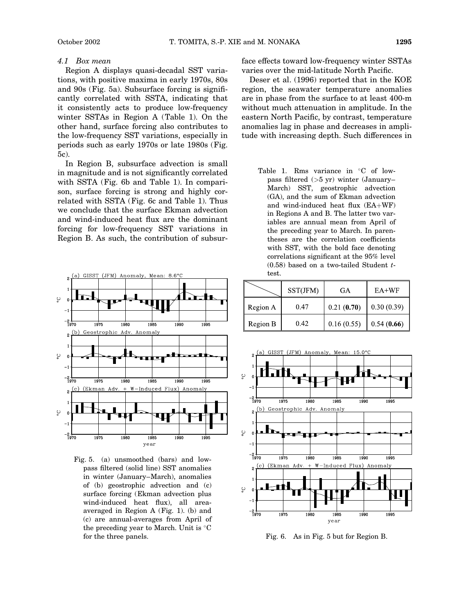#### 4.1 Box mean

Region A displays quasi-decadal SST variations, with positive maxima in early 1970s, 80s and 90s (Fig. 5a). Subsurface forcing is significantly correlated with SSTA, indicating that it consistently acts to produce low-frequency winter SSTAs in Region A (Table 1). On the other hand, surface forcing also contributes to the low-frequency SST variations, especially in periods such as early 1970s or late 1980s (Fig. 5c).

In Region B, subsurface advection is small in magnitude and is not significantly correlated with SSTA (Fig. 6b and Table 1). In comparison, surface forcing is strong and highly correlated with SSTA (Fig. 6c and Table 1). Thus we conclude that the surface Ekman advection and wind-induced heat flux are the dominant forcing for low-frequency SST variations in Region B. As such, the contribution of subsur-





face effects toward low-frequency winter SSTAs varies over the mid-latitude North Pacific.

Deser et al. (1996) reported that in the KOE region, the seawater temperature anomalies are in phase from the surface to at least 400-m without much attenuation in amplitude. In the eastern North Pacific, by contrast, temperature anomalies lag in phase and decreases in amplitude with increasing depth. Such differences in

Table 1. Rms variance in  $\mathrm{C}$  of lowpass filtered (>5 yr) winter (January– March) SST, geostrophic advection (GA), and the sum of Ekman advection and wind-induced heat flux  $(EA+WF)$ in Regions A and B. The latter two variables are annual mean from April of the preceding year to March. In parentheses are the correlation coefficients with SST, with the bold face denoting correlations significant at the 95% level  $(0.58)$  based on a two-tailed Student ttest.

|          | SST(JFM) | GA         | $E$ A+WF   |
|----------|----------|------------|------------|
| Region A | 0.47     | 0.21(0.70) | 0.30(0.39) |
| Region B | 0.42     | 0.16(0.55) | 0.54(0.66) |



Fig. 6. As in Fig. 5 but for Region B.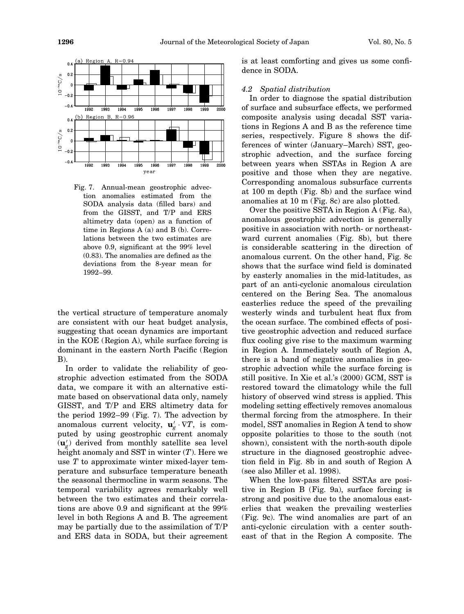

Fig. 7. Annual-mean geostrophic advection anomalies estimated from the SODA analysis data (filled bars) and from the GISST, and T/P and ERS altimetry data (open) as a function of time in Regions A (a) and B (b). Correlations between the two estimates are above 0.9, significant at the 99% level (0.83). The anomalies are defined as the deviations from the 8-year mean for 1992–99.

the vertical structure of temperature anomaly are consistent with our heat budget analysis, suggesting that ocean dynamics are important in the KOE (Region A), while surface forcing is dominant in the eastern North Pacific (Region B).

In order to validate the reliability of geostrophic advection estimated from the SODA data, we compare it with an alternative estimate based on observational data only, namely GISST, and T/P and ERS altimetry data for the period 1992–99 (Fig. 7). The advection by anomalous current velocity,  $\mathbf{u}'_{g} \cdot \nabla T$ , is computed by using geostrophic current anomaly  $(\mathbf{u}_g')$  derived from monthly satellite sea level height anomaly and SST in winter  $(T)$ . Here we use T to approximate winter mixed-layer temperature and subsurface temperature beneath the seasonal thermocline in warm seasons. The temporal variability agrees remarkably well between the two estimates and their correlations are above 0.9 and significant at the 99% level in both Regions A and B. The agreement may be partially due to the assimilation of T/P and ERS data in SODA, but their agreement is at least comforting and gives us some confidence in SODA.

#### 4.2 Spatial distribution

In order to diagnose the spatial distribution of surface and subsurface effects, we performed composite analysis using decadal SST variations in Regions A and B as the reference time series, respectively. Figure 8 shows the differences of winter (January–March) SST, geostrophic advection, and the surface forcing between years when SSTAs in Region A are positive and those when they are negative. Corresponding anomalous subsurface currents at 100 m depth (Fig. 8b) and the surface wind anomalies at 10 m (Fig. 8c) are also plotted.

Over the positive SSTA in Region A (Fig. 8a), anomalous geostrophic advection is generally positive in association with north- or northeastward current anomalies (Fig. 8b), but there is considerable scattering in the direction of anomalous current. On the other hand, Fig. 8c shows that the surface wind field is dominated by easterly anomalies in the mid-latitudes, as part of an anti-cyclonic anomalous circulation centered on the Bering Sea. The anomalous easterlies reduce the speed of the prevailing westerly winds and turbulent heat flux from the ocean surface. The combined effects of positive geostrophic advection and reduced surface flux cooling give rise to the maximum warming in Region A. Immediately south of Region A, there is a band of negative anomalies in geostrophic advection while the surface forcing is still positive. In Xie et al.'s (2000) GCM, SST is restored toward the climatology while the full history of observed wind stress is applied. This modeling setting effectively removes anomalous thermal forcing from the atmosphere. In their model, SST anomalies in Region A tend to show opposite polarities to those to the south (not shown), consistent with the north-south dipole structure in the diagnosed geostrophic advection field in Fig. 8b in and south of Region A (see also Miller et al. 1998).

When the low-pass filtered SSTAs are positive in Region B (Fig. 9a), surface forcing is strong and positive due to the anomalous easterlies that weaken the prevailing westerlies (Fig. 9c). The wind anomalies are part of an anti-cyclonic circulation with a center southeast of that in the Region A composite. The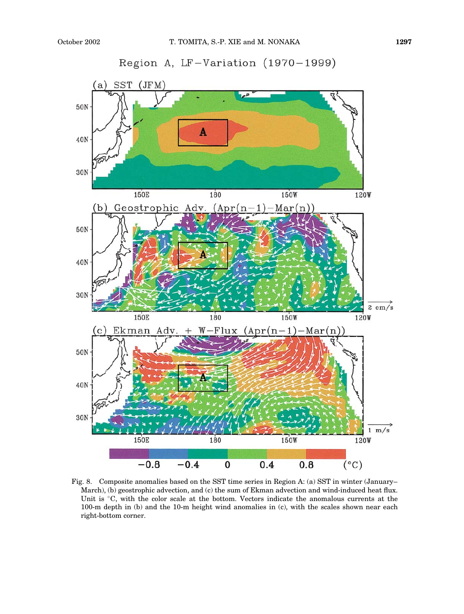

Fig. 8. Composite anomalies based on the SST time series in Region A: (a) SST in winter (January– March), (b) geostrophic advection, and (c) the sum of Ekman advection and wind-induced heat flux. Unit is °C, with the color scale at the bottom. Vectors indicate the anomalous currents at the 100-m depth in (b) and the 10-m height wind anomalies in (c), with the scales shown near each right-bottom corner.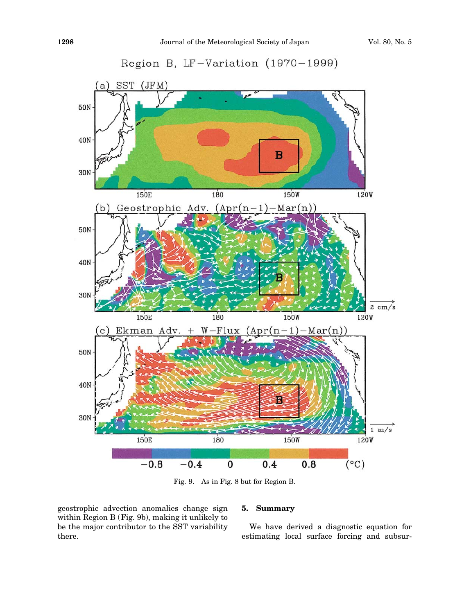



geostrophic advection anomalies change sign within Region B (Fig. 9b), making it unlikely to be the major contributor to the SST variability there.

## 5. Summary

We have derived a diagnostic equation for estimating local surface forcing and subsur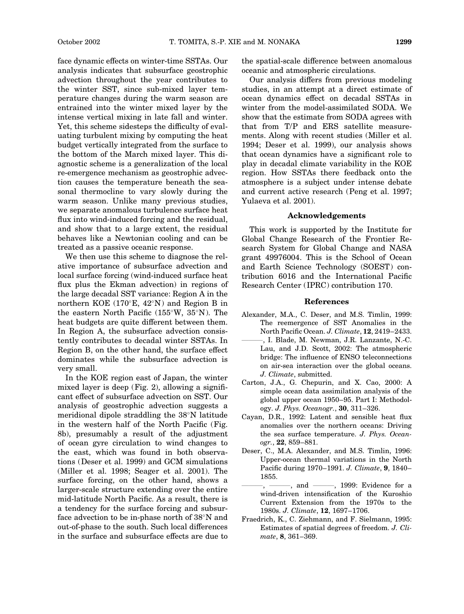face dynamic effects on winter-time SSTAs. Our analysis indicates that subsurface geostrophic advection throughout the year contributes to the winter SST, since sub-mixed layer temperature changes during the warm season are entrained into the winter mixed layer by the intense vertical mixing in late fall and winter. Yet, this scheme sidesteps the difficulty of evaluating turbulent mixing by computing the heat budget vertically integrated from the surface to the bottom of the March mixed layer. This diagnostic scheme is a generalization of the local re-emergence mechanism as geostrophic advection causes the temperature beneath the seasonal thermocline to vary slowly during the warm season. Unlike many previous studies, we separate anomalous turbulence surface heat flux into wind-induced forcing and the residual, and show that to a large extent, the residual behaves like a Newtonian cooling and can be treated as a passive oceanic response.

We then use this scheme to diagnose the relative importance of subsurface advection and local surface forcing (wind-induced surface heat flux plus the Ekman advection) in regions of the large decadal SST variance: Region A in the northern KOE (170 $E$ , 42 $\textdegree$ N) and Region B in the eastern North Pacific  $(155\textdegree W, 35\textdegree N)$ . The heat budgets are quite different between them. In Region A, the subsurface advection consistently contributes to decadal winter SSTAs. In Region B, on the other hand, the surface effect dominates while the subsurface advection is very small.

In the KOE region east of Japan, the winter mixed layer is deep (Fig. 2), allowing a significant effect of subsurface advection on SST. Our analysis of geostrophic advection suggests a meridional dipole straddling the  $38^\circ$ N latitude in the western half of the North Pacific (Fig. 8b), presumably a result of the adjustment of ocean gyre circulation to wind changes to the east, which was found in both observations (Deser et al. 1999) and GCM simulations (Miller et al. 1998; Seager et al. 2001). The surface forcing, on the other hand, shows a larger-scale structure extending over the entire mid-latitude North Pacific. As a result, there is a tendency for the surface forcing and subsurface advection to be in-phase north of  $38^{\circ}$ N and out-of-phase to the south. Such local differences in the surface and subsurface effects are due to the spatial-scale difference between anomalous oceanic and atmospheric circulations.

Our analysis differs from previous modeling studies, in an attempt at a direct estimate of ocean dynamics effect on decadal SSTAs in winter from the model-assimilated SODA. We show that the estimate from SODA agrees with that from T/P and ERS satellite measurements. Along with recent studies (Miller et al. 1994; Deser et al. 1999), our analysis shows that ocean dynamics have a significant role to play in decadal climate variability in the KOE region. How SSTAs there feedback onto the atmosphere is a subject under intense debate and current active research (Peng et al. 1997; Yulaeva et al. 2001).

### Acknowledgements

This work is supported by the Institute for Global Change Research of the Frontier Research System for Global Change and NASA grant 49976004. This is the School of Ocean and Earth Science Technology (SOEST) contribution 6016 and the International Pacific Research Center (IPRC) contribution 170.

### References

- Alexander, M.A., C. Deser, and M.S. Timlin, 1999: The reemergence of SST Anomalies in the North Pacific Ocean. J. Climate, 12, 2419–2433.
- ———, I. Blade, M. Newman, J.R. Lanzante, N.-C. Lau, and J.D. Scott, 2002: The atmospheric bridge: The influence of ENSO teleconnections on air-sea interaction over the global oceans. J. Climate, submitted.
- Carton, J.A., G. Chepurin, and X. Cao, 2000: A simple ocean data assimilation analysis of the global upper ocean 1950–95. Part I: Methodology. J. Phys. Oceanogr., 30, 311–326.
- Cayan, D.R., 1992: Latent and sensible heat flux anomalies over the northern oceans: Driving the sea surface temperature. J. Phys. Oceanogr., 22, 859–881.
- Deser, C., M.A. Alexander, and M.S. Timlin, 1996: Upper-ocean thermal variations in the North Pacific during 1970–1991. J. Climate, 9, 1840– 1855.
- $-$ , and  $\longrightarrow$ , 1999: Evidence for a wind-driven intensification of the Kuroshio Current Extension from the 1970s to the 1980s. J. Climate, 12, 1697–1706.
- Fraedrich, K., C. Ziehmann, and F. Sielmann, 1995: Estimates of spatial degrees of freedom. J. Climate, 8, 361–369.